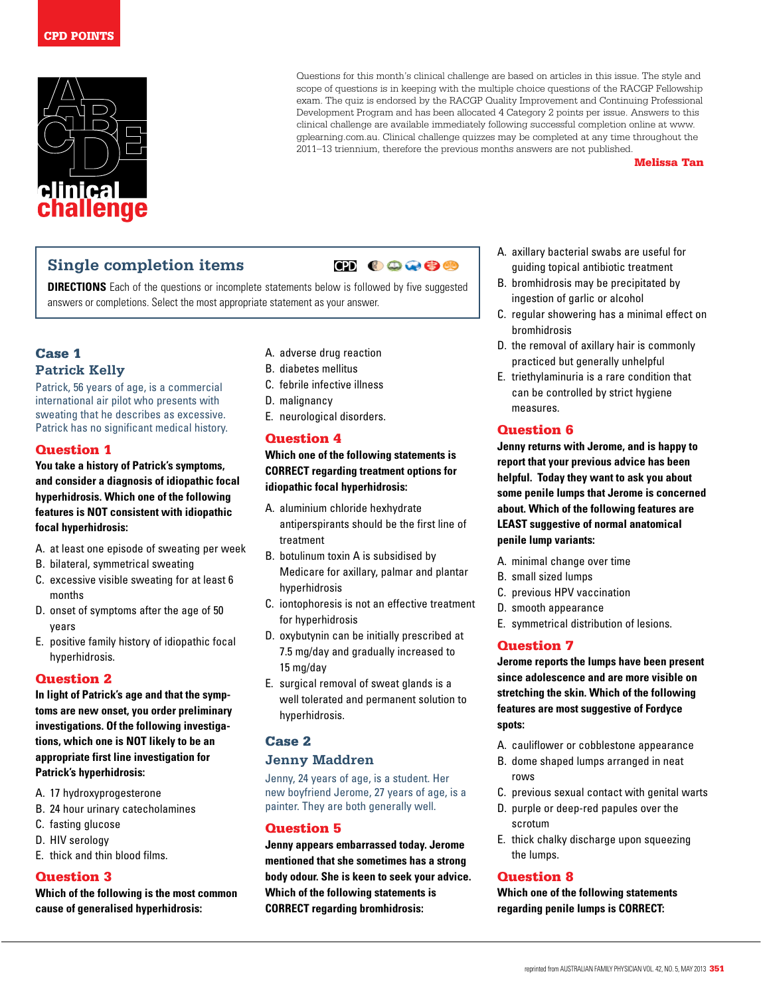

Questions for this month's clinical challenge are based on articles in this issue. The style and scope of questions is in keeping with the multiple choice questions of the RACGP Fellowship exam. The quiz is endorsed by the RACGP Quality Improvement and Continuing Professional Development Program and has been allocated 4 Category 2 points per issue. Answers to this clinical challenge are available immediately following successful completion online at www. gplearning.com.au. Clinical challenge quizzes may be completed at any time throughout the 2011–13 triennium, therefore the previous months answers are not published.

#### Melissa Tan

# **Single completion items**

# $CD **0**$

**DIRECTIONS** Each of the questions or incomplete statements below is followed by five suggested answers or completions. Select the most appropriate statement as your answer.

# Case 1 **Patrick Kelly**

Patrick, 56 years of age, is a commercial international air pilot who presents with sweating that he describes as excessive. Patrick has no significant medical history.

#### Question 1

**You take a history of Patrick's symptoms, and consider a diagnosis of idiopathic focal hyperhidrosis. Which one of the following features is NOT consistent with idiopathic focal hyperhidrosis:**

- A. at least one episode of sweating per week
- B. bilateral, symmetrical sweating
- C. excessive visible sweating for at least 6 months
- D. onset of symptoms after the age of 50 years
- E. positive family history of idiopathic focal hyperhidrosis.

#### Question 2

**In light of Patrick's age and that the symptoms are new onset, you order preliminary investigations. Of the following investigations, which one is NOT likely to be an appropriate first line investigation for Patrick's hyperhidrosis:** 

- A. 17 hydroxyprogesterone
- B. 24 hour urinary catecholamines
- C. fasting glucose
- D. HIV serology
- E. thick and thin blood films.

### Question 3

**Which of the following is the most common cause of generalised hyperhidrosis:**

- A. adverse drug reaction
- B. diabetes mellitus
- C. febrile infective illness
- D. malignancy
- E. neurological disorders.

### Question 4

**Which one of the following statements is CORRECT regarding treatment options for idiopathic focal hyperhidrosis:** 

- A. aluminium chloride hexhydrate antiperspirants should be the first line of treatment
- B. botulinum toxin A is subsidised by Medicare for axillary, palmar and plantar hyperhidrosis
- C. iontophoresis is not an effective treatment for hyperhidrosis
- D. oxybutynin can be initially prescribed at 7.5 mg/day and gradually increased to 15 mg/day
- E. surgical removal of sweat glands is a well tolerated and permanent solution to hyperhidrosis.

## Case 2

### **Jenny Maddren**

Jenny, 24 years of age, is a student. Her new boyfriend Jerome, 27 years of age, is a painter. They are both generally well.

### Question 5

**Jenny appears embarrassed today. Jerome mentioned that she sometimes has a strong body odour. She is keen to seek your advice. Which of the following statements is CORRECT regarding bromhidrosis:**

- A. axillary bacterial swabs are useful for guiding topical antibiotic treatment
- B. bromhidrosis may be precipitated by ingestion of garlic or alcohol
- C. regular showering has a minimal effect on bromhidrosis
- D. the removal of axillary hair is commonly practiced but generally unhelpful
- E. triethylaminuria is a rare condition that can be controlled by strict hygiene measures.

### Question 6

**Jenny returns with Jerome, and is happy to report that your previous advice has been helpful. Today they want to ask you about some penile lumps that Jerome is concerned about. Which of the following features are LEAST suggestive of normal anatomical penile lump variants:**

- A. minimal change over time
- B. small sized lumps
- C. previous HPV vaccination
- D. smooth appearance
- E. symmetrical distribution of lesions.

### Question 7

**Jerome reports the lumps have been present since adolescence and are more visible on stretching the skin. Which of the following features are most suggestive of Fordyce spots:**

- A. cauliflower or cobblestone appearance
- B. dome shaped lumps arranged in neat rows
- C. previous sexual contact with genital warts
- D. purple or deep-red papules over the scrotum
- E. thick chalky discharge upon squeezing the lumps.

#### Question 8

**Which one of the following statements regarding penile lumps is CORRECT:**